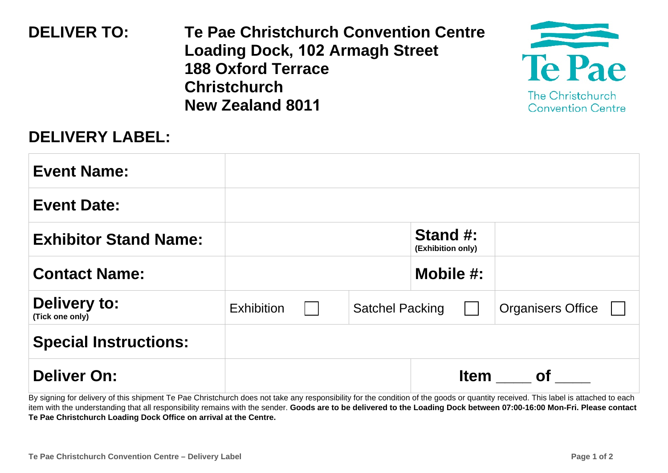| <b>DELIVER TO:</b> | Te Pae Christchurch Convention Centre<br><b>Loading Dock, 102 Armagh Street</b><br><b>188 Oxford Terrace</b><br><b>Christchurch</b><br><b>New Zealand 8011</b> | <b>Te Pae</b><br>The Christchurch<br><b>Convention Centre</b> |
|--------------------|----------------------------------------------------------------------------------------------------------------------------------------------------------------|---------------------------------------------------------------|
|                    |                                                                                                                                                                |                                                               |

## **DELIVERY LABEL:**

| <b>Event Name:</b>                     |                   |                        |                               |                          |
|----------------------------------------|-------------------|------------------------|-------------------------------|--------------------------|
| <b>Event Date:</b>                     |                   |                        |                               |                          |
| <b>Exhibitor Stand Name:</b>           |                   |                        | Stand #:<br>(Exhibition only) |                          |
| <b>Contact Name:</b>                   |                   |                        | Mobile $#$ :                  |                          |
| <b>Delivery to:</b><br>(Tick one only) | <b>Exhibition</b> | <b>Satchel Packing</b> |                               | <b>Organisers Office</b> |
| <b>Special Instructions:</b>           |                   |                        |                               |                          |
| <b>Deliver On:</b>                     |                   |                        | <b>Item</b>                   | <b>of</b>                |

By signing for delivery of this shipment Te Pae Christchurch does not take any responsibility for the condition of the goods or quantity received. This label is attached to each item with the understanding that all responsibility remains with the sender. Goods are to be delivered to the Loading Dock between 07:00-16:00 Mon-Fri. Please contact Te Pae Christchurch Loading Dock Office on arrival at the Centre.